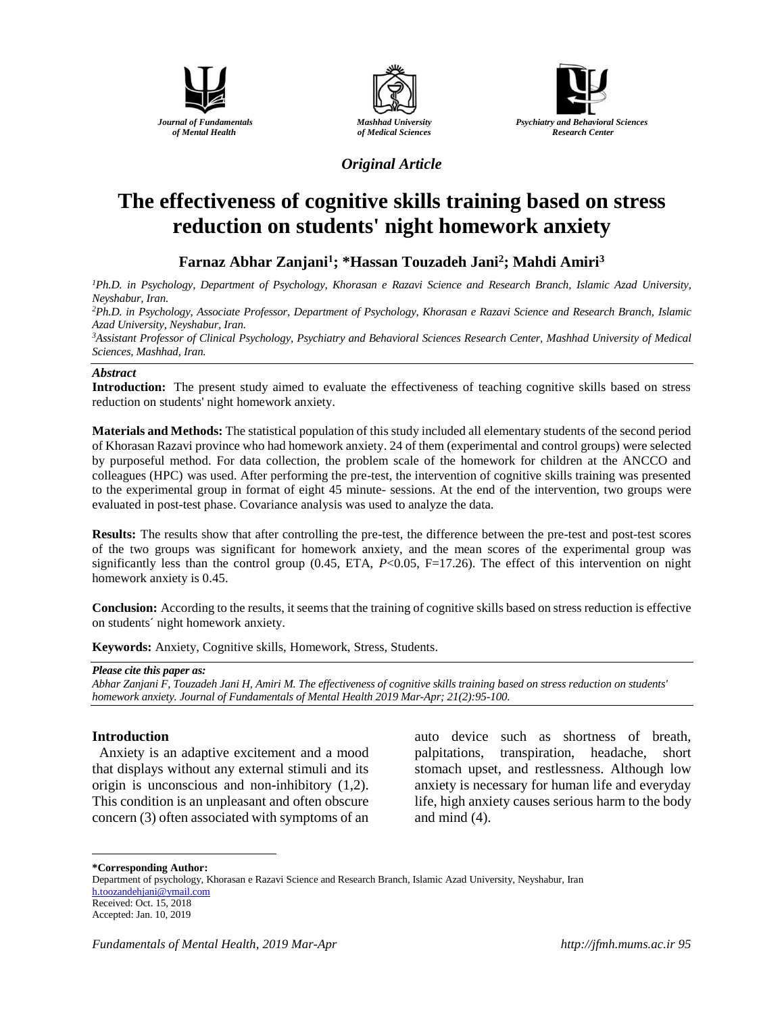





*Original Article*

# **The effectiveness of cognitive skills training based on stress reduction on students' night homework anxiety**

## **Farnaz Abhar Zanjani<sup>1</sup> ; \*Hassan Touzadeh Jani<sup>2</sup> ; Mahdi Amiri<sup>3</sup>**

*<sup>1</sup>Ph.D. in Psychology, Department of Psychology, Khorasan e Razavi Science and Research Branch, Islamic Azad University, Neyshabur, Iran.*

*<sup>2</sup>Ph.D. in Psychology, Associate Professor, Department of Psychology, Khorasan e Razavi Science and Research Branch, Islamic Azad University, Neyshabur, Iran.*

*<sup>3</sup>Assistant Professor of Clinical Psychology, Psychiatry and Behavioral Sciences Research Center, Mashhad University of Medical Sciences, Mashhad, Iran.*

#### *Abstract*

**Introduction:** The present study aimed to evaluate the effectiveness of teaching cognitive skills based on stress reduction on students' night homework anxiety.

**Materials and Methods:** The statistical population of this study included all elementary students of the second period of Khorasan Razavi province who had homework anxiety. 24 of them (experimental and control groups) were selected by purposeful method. For data collection, the problem scale of the homework for children at the ANCCO and colleagues (HPC) was used. After performing the pre-test, the intervention of cognitive skills training was presented to the experimental group in format of eight 45 minute- sessions. At the end of the intervention, two groups were evaluated in post-test phase. Covariance analysis was used to analyze the data.

**Results:** The results show that after controlling the pre-test, the difference between the pre-test and post-test scores of the two groups was significant for homework anxiety, and the mean scores of the experimental group was significantly less than the control group (0.45, ETA, *P*<0.05, F=17.26). The effect of this intervention on night homework anxiety is 0.45.

**Conclusion:** According to the results, it seems that the training of cognitive skills based on stress reduction is effective on students´ night homework anxiety.

**Keywords:** Anxiety, Cognitive skills, Homework, Stress, Students.

*Please cite this paper as:* 

*Abhar Zanjani F, Touzadeh Jani H, Amiri M. The effectiveness of cognitive skills training based on stress reduction on students' homework anxiety. Journal of Fundamentals of Mental Health 2019 Mar-Apr; 21(2):95-100.*

### **Introduction**

 Anxiety is an adaptive excitement and a mood that displays without any external stimuli and its origin is unconscious and non-inhibitory (1,2). This condition is an unpleasant and often obscure concern (3) often associated with symptoms of an auto device such as shortness of breath, palpitations, transpiration, headache, short stomach upset, and restlessness. Although low anxiety is necessary for human life and everyday life, high anxiety causes serious harm to the body and mind (4).

**\*Corresponding Author:**

 $\overline{a}$ 

Department of psychology, Khorasan e Razavi Science and Research Branch, Islamic Azad University, Neyshabur, Iran h.toozandehjani@ymail.com Received: Oct. 15, 2018

Accepted: Jan. 10, 2019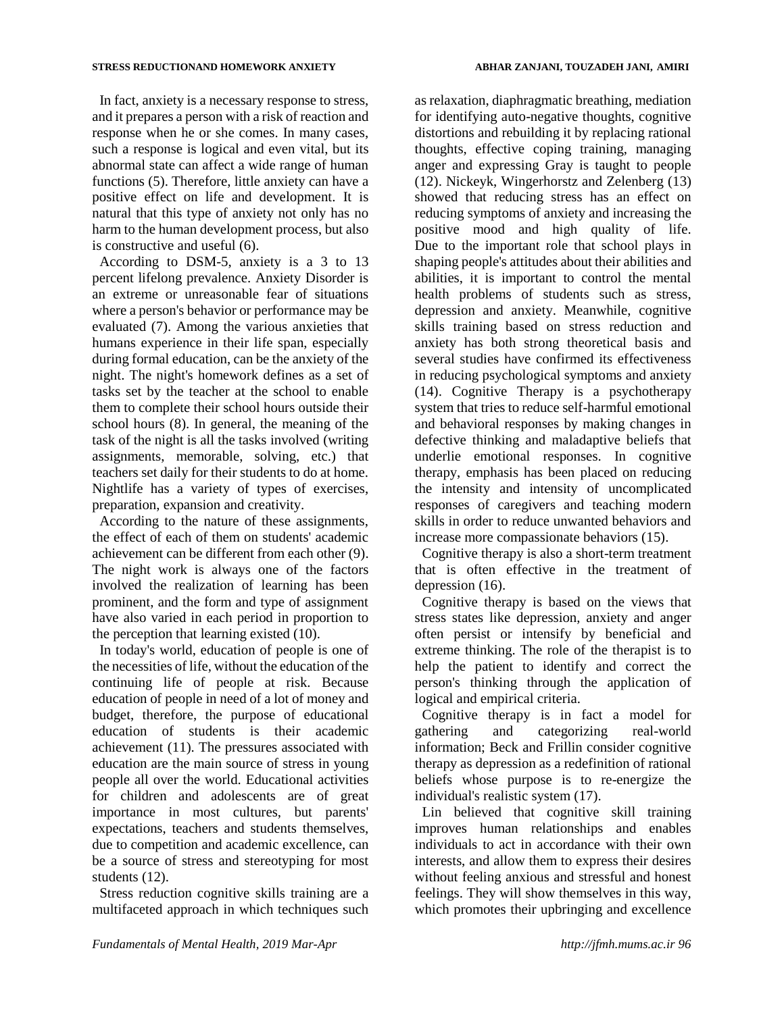In fact, anxiety is a necessary response to stress, and it prepares a person with a risk of reaction and response when he or she comes. In many cases, such a response is logical and even vital, but its abnormal state can affect a wide range of human functions (5). Therefore, little anxiety can have a positive effect on life and development. It is natural that this type of anxiety not only has no harm to the human development process, but also is constructive and useful (6).

According to DSM-5, anxiety is a 3 to 13 percent lifelong prevalence. Anxiety Disorder is an extreme or unreasonable fear of situations where a person's behavior or performance may be evaluated (7). Among the various anxieties that humans experience in their life span, especially during formal education, can be the anxiety of the night. The night's homework defines as a set of tasks set by the teacher at the school to enable them to complete their school hours outside their school hours (8). In general, the meaning of the task of the night is all the tasks involved (writing assignments, memorable, solving, etc.) that teachers set daily for their students to do at home. Nightlife has a variety of types of exercises, preparation, expansion and creativity.

According to the nature of these assignments, the effect of each of them on students' academic achievement can be different from each other (9). The night work is always one of the factors involved the realization of learning has been prominent, and the form and type of assignment have also varied in each period in proportion to the perception that learning existed (10).

In today's world, education of people is one of the necessities of life, without the education of the continuing life of people at risk. Because education of people in need of a lot of money and budget, therefore, the purpose of educational education of students is their academic achievement (11). The pressures associated with education are the main source of stress in young people all over the world. Educational activities for children and adolescents are of great importance in most cultures, but parents' expectations, teachers and students themselves, due to competition and academic excellence, can be a source of stress and stereotyping for most students (12).

Stress reduction cognitive skills training are a multifaceted approach in which techniques such

as relaxation, diaphragmatic breathing, mediation for identifying auto-negative thoughts, cognitive distortions and rebuilding it by replacing rational thoughts, effective coping training, managing anger and expressing Gray is taught to people (12). Nickeyk, Wingerhorstz and Zelenberg (13) showed that reducing stress has an effect on reducing symptoms of anxiety and increasing the positive mood and high quality of life. Due to the important role that school plays in shaping people's attitudes about their abilities and abilities, it is important to control the mental health problems of students such as stress, depression and anxiety. Meanwhile, cognitive skills training based on stress reduction and anxiety has both strong theoretical basis and several studies have confirmed its effectiveness in reducing psychological symptoms and anxiety (14). Cognitive Therapy is a psychotherapy system that tries to reduce self-harmful emotional and behavioral responses by making changes in defective thinking and maladaptive beliefs that underlie emotional responses. In cognitive therapy, emphasis has been placed on reducing the intensity and intensity of uncomplicated responses of caregivers and teaching modern skills in order to reduce unwanted behaviors and increase more compassionate behaviors (15).

Cognitive therapy is also a short-term treatment that is often effective in the treatment of depression  $(16)$ .

Cognitive therapy is based on the views that stress states like depression, anxiety and anger often persist or intensify by beneficial and extreme thinking. The role of the therapist is to help the patient to identify and correct the person's thinking through the application of logical and empirical criteria.

Cognitive therapy is in fact a model for gathering and categorizing real-world information; Beck and Frillin consider cognitive therapy as depression as a redefinition of rational beliefs whose purpose is to re-energize the individual's realistic system (17).

Lin believed that cognitive skill training improves human relationships and enables individuals to act in accordance with their own interests, and allow them to express their desires without feeling anxious and stressful and honest feelings. They will show themselves in this way, which promotes their upbringing and excellence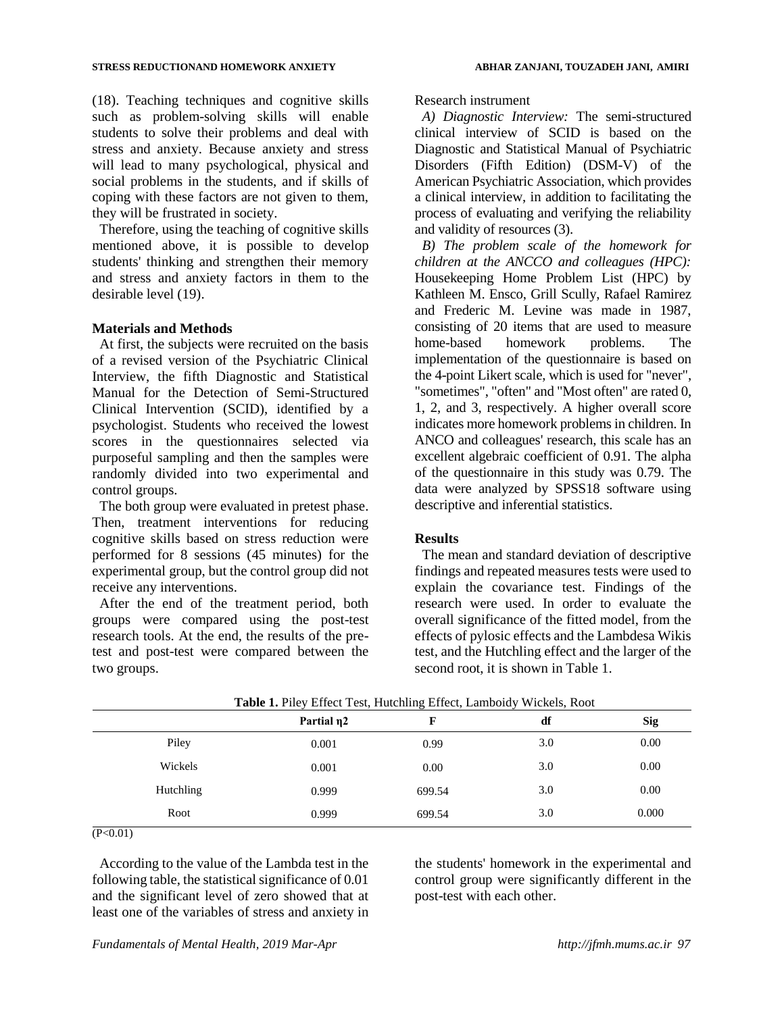(18). Teaching techniques and cognitive skills such as problem-solving skills will enable students to solve their problems and deal with stress and anxiety. Because anxiety and stress will lead to many psychological, physical and social problems in the students, and if skills of coping with these factors are not given to them, they will be frustrated in society.

Therefore, using the teaching of cognitive skills mentioned above, it is possible to develop students' thinking and strengthen their memory and stress and anxiety factors in them to the desirable level (19).

#### **Materials and Methods**

At first, the subjects were recruited on the basis of a revised version of the Psychiatric Clinical Interview, the fifth Diagnostic and Statistical Manual for the Detection of Semi-Structured Clinical Intervention (SCID), identified by a psychologist. Students who received the lowest scores in the questionnaires selected via purposeful sampling and then the samples were randomly divided into two experimental and control groups.

The both group were evaluated in pretest phase. Then, treatment interventions for reducing cognitive skills based on stress reduction were performed for 8 sessions (45 minutes) for the experimental group, but the control group did not receive any interventions.

After the end of the treatment period, both groups were compared using the post-test research tools. At the end, the results of the pretest and post-test were compared between the two groups.

#### Research instrument

*A) Diagnostic Interview:* The semi-structured clinical interview of SCID is based on the Diagnostic and Statistical Manual of Psychiatric Disorders (Fifth Edition) (DSM-V) of the American Psychiatric Association, which provides a clinical interview, in addition to facilitating the process of evaluating and verifying the reliability and validity of resources (3).

*B) The problem scale of the homework for children at the ANCCO and colleagues (HPC):* Housekeeping Home Problem List (HPC) by Kathleen M. Ensco, Grill Scully, Rafael Ramirez and Frederic M. Levine was made in 1987, consisting of 20 items that are used to measure home-based homework problems. The implementation of the questionnaire is based on the 4-point Likert scale, which is used for "never", "sometimes", "often" and "Most often" are rated 0, 1, 2, and 3, respectively. A higher overall score indicates more homework problems in children. In ANCO and colleagues' research, this scale has an excellent algebraic coefficient of 0.91. The alpha of the questionnaire in this study was 0.79. The data were analyzed by SPSS18 software using descriptive and inferential statistics.

#### **Results**

The mean and standard deviation of descriptive findings and repeated measures tests were used to explain the covariance test. Findings of the research were used. In order to evaluate the overall significance of the fitted model, from the effects of pylosic effects and the Lambdesa Wikis test, and the Hutchling effect and the larger of the second root, it is shown in Table 1.

|           | Partial n2 |        | df  | <b>Sig</b> |
|-----------|------------|--------|-----|------------|
| Piley     | 0.001      | 0.99   | 3.0 | 0.00       |
| Wickels   | 0.001      | 0.00   | 3.0 | 0.00       |
| Hutchling | 0.999      | 699.54 | 3.0 | 0.00       |
| Root      | 0.999      | 699.54 | 3.0 | 0.000      |

|  |  |  |  |  |  | Table 1. Piley Effect Test, Hutchling Effect, Lamboidy Wickels, Root |  |  |
|--|--|--|--|--|--|----------------------------------------------------------------------|--|--|
|--|--|--|--|--|--|----------------------------------------------------------------------|--|--|

 $(P<0.01)$ 

According to the value of the Lambda test in the following table, the statistical significance of 0.01 and the significant level of zero showed that at least one of the variables of stress and anxiety in the students' homework in the experimental and control group were significantly different in the post-test with each other.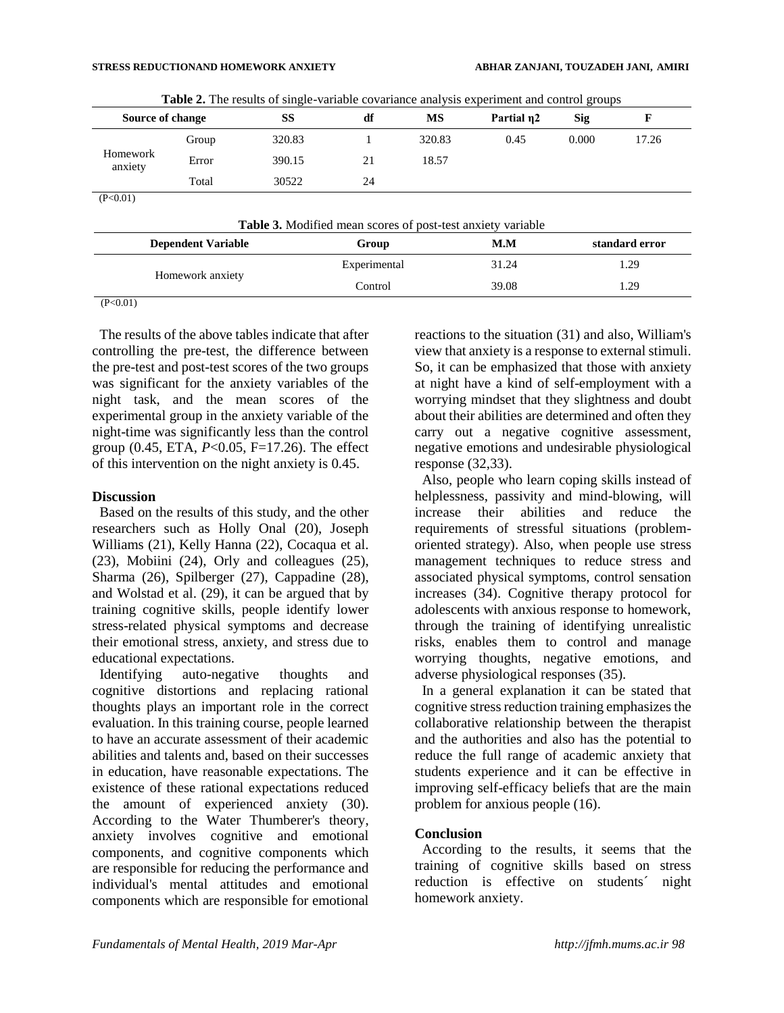| Source of change    |       | <b>THE 20 THE LOSGITS</b> OF SHILLIC VALIMED COVALIGNCE AND VALIMED AND CONTROL COUNTS<br>SS | df | MS     | Partial n2 | Sig   |       |
|---------------------|-------|----------------------------------------------------------------------------------------------|----|--------|------------|-------|-------|
|                     | Group | 320.83                                                                                       |    | 320.83 | 0.45       | 0.000 | 17.26 |
| Homework<br>anxiety | Error | 390.15                                                                                       | 21 | 18.57  |            |       |       |
|                     | Total | 30522                                                                                        | 24 |        |            |       |       |
| (P<0.01)            |       |                                                                                              |    |        |            |       |       |

**Table 2.** The results of single-variable covariance analysis experiment and control groups

| <b>Table 3.</b> Modified mean scores of post-test anxiety variable |              |       |                |  |  |
|--------------------------------------------------------------------|--------------|-------|----------------|--|--|
| <b>Dependent Variable</b>                                          | Group        | M.M   | standard error |  |  |
| Homework anxiety                                                   | Experimental | 31.24 | 1.29           |  |  |
|                                                                    | Control      | 39.08 | 1.29           |  |  |
| (P<0.01)                                                           |              |       |                |  |  |

The results of the above tables indicate that after controlling the pre-test, the difference between the pre-test and post-test scores of the two groups was significant for the anxiety variables of the night task, and the mean scores of the experimental group in the anxiety variable of the night-time was significantly less than the control group (0.45, ETA, *P*<0.05, F=17.26). The effect of this intervention on the night anxiety is 0.45.

#### **Discussion**

Based on the results of this study, and the other researchers such as Holly Onal (20), Joseph Williams (21), Kelly Hanna (22), Cocaqua et al. (23), Mobiini (24), Orly and colleagues (25), Sharma (26), Spilberger (27), Cappadine (28), and Wolstad et al. (29), it can be argued that by training cognitive skills, people identify lower stress-related physical symptoms and decrease their emotional stress, anxiety, and stress due to educational expectations.

Identifying auto-negative thoughts and cognitive distortions and replacing rational thoughts plays an important role in the correct evaluation. In this training course, people learned to have an accurate assessment of their academic abilities and talents and, based on their successes in education, have reasonable expectations. The existence of these rational expectations reduced the amount of experienced anxiety (30). According to the Water Thumberer's theory, anxiety involves cognitive and emotional components, and cognitive components which are responsible for reducing the performance and individual's mental attitudes and emotional components which are responsible for emotional reactions to the situation (31) and also, William's view that anxiety is a response to external stimuli. So, it can be emphasized that those with anxiety at night have a kind of self-employment with a worrying mindset that they slightness and doubt about their abilities are determined and often they carry out a negative cognitive assessment, negative emotions and undesirable physiological response (32,33).

Also, people who learn coping skills instead of helplessness, passivity and mind-blowing, will increase their abilities and reduce the requirements of stressful situations (problemoriented strategy). Also, when people use stress management techniques to reduce stress and associated physical symptoms, control sensation increases (34). Cognitive therapy protocol for adolescents with anxious response to homework, through the training of identifying unrealistic risks, enables them to control and manage worrying thoughts, negative emotions, and adverse physiological responses (35).

In a general explanation it can be stated that cognitive stress reduction training emphasizes the collaborative relationship between the therapist and the authorities and also has the potential to reduce the full range of academic anxiety that students experience and it can be effective in improving self-efficacy beliefs that are the main problem for anxious people (16).

#### **Conclusion**

According to the results, it seems that the training of cognitive skills based on stress reduction is effective on students´ night homework anxiety.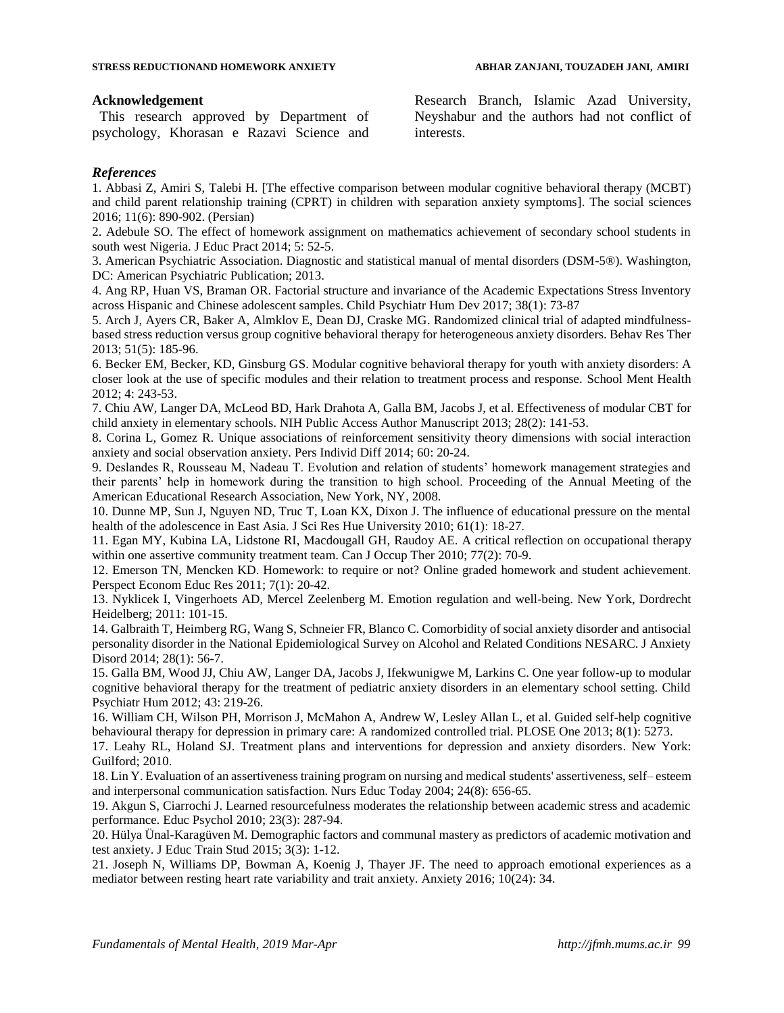#### **Acknowledgement**

This research approved by Department of psychology, Khorasan e Razavi Science and Research Branch, Islamic Azad University, Neyshabur and the authors had not conflict of interests.

#### *References*

1. Abbasi Z, Amiri S, Talebi H. [The effective comparison between modular cognitive behavioral therapy (MCBT) and child parent relationship training (CPRT) in children with separation anxiety symptoms]. The social sciences 2016; 11(6): 890-902. (Persian)

2. Adebule SO. The effect of homework assignment on mathematics achievement of secondary school students in south west Nigeria. J Educ Pract 2014; 5: 52-5.

3. American Psychiatric Association. Diagnostic and statistical manual of mental disorders (DSM-5®). Washington, DC: American Psychiatric Publication; 2013.

4. Ang RP, Huan VS, Braman OR. Factorial structure and invariance of the Academic Expectations Stress Inventory across Hispanic and Chinese adolescent samples. Child Psychiatr Hum Dev 2017; 38(1): 73-87

5. Arch J, Ayers CR, Baker A, Almklov E, Dean DJ, Craske MG. Randomized clinical trial of adapted mindfulnessbased stress reduction versus group cognitive behavioral therapy for heterogeneous anxiety disorders. Behav Res Ther 2013; 51(5): 185-96.

6. Becker EM, Becker, KD, Ginsburg GS. Modular cognitive behavioral therapy for youth with anxiety disorders: A closer look at the use of specific modules and their relation to treatment process and response. School Ment Health 2012; 4: 243-53.

7. Chiu AW, Langer DA, McLeod BD, Hark Drahota A, Galla BM, Jacobs J, et al. Effectiveness of modular CBT for child anxiety in elementary schools. NIH Public Access Author Manuscript 2013; 28(2): 141-53.

8. Corina L, Gomez R. Unique associations of reinforcement sensitivity theory dimensions with social interaction anxiety and social observation anxiety. Pers Individ Diff 2014; 60: 20-24.

9. Deslandes R, Rousseau M, Nadeau T. Evolution and relation of students' homework management strategies and their parents' help in homework during the transition to high school. Proceeding of the Annual Meeting of the American Educational Research Association, New York, NY, 2008.

10. Dunne MP, Sun J, Nguyen ND, Truc T, Loan KX, Dixon J. The influence of educational pressure on the mental health of the adolescence in East Asia. J Sci Res Hue University 2010; 61(1): 18-27.

11. Egan MY, Kubina LA, Lidstone RI, Macdougall GH, Raudoy AE. A critical reflection on occupational therapy within one assertive community treatment team. Can J Occup Ther 2010; 77(2): 70-9.

12. Emerson TN, Mencken KD. Homework: to require or not? Online graded homework and student achievement. Perspect Econom Educ Res 2011; 7(1): 20-42.

13. Nyklicek I, Vingerhoets AD, Mercel Zeelenberg M. Emotion regulation and well-being. New York, Dordrecht Heidelberg; 2011: 101-15.

14. Galbraith T, Heimberg RG, Wang S, Schneier FR, Blanco C. Comorbidity of social anxiety disorder and antisocial personality disorder in the National Epidemiological Survey on Alcohol and Related Conditions NESARC. J Anxiety Disord 2014; 28(1): 56-7.

15. Galla BM, Wood JJ, Chiu AW, Langer DA, Jacobs J, Ifekwunigwe M, Larkins C. One year follow-up to modular cognitive behavioral therapy for the treatment of pediatric anxiety disorders in an elementary school setting. Child Psychiatr Hum 2012; 43: 219-26.

16. William CH, Wilson PH, Morrison J, McMahon A, Andrew W, Lesley Allan L, et al. Guided self-help cognitive behavioural therapy for depression in primary care: A randomized controlled trial. PLOSE One 2013; 8(1): 5273.

17. Leahy RL, Holand SJ. Treatment plans and interventions for depression and anxiety disorders. New York: Guilford; 2010.

18. Lin Y. Evaluation of an assertiveness training program on nursing and medical students' assertiveness, self– esteem and interpersonal communication satisfaction. Nurs Educ Today 2004; 24(8): 656-65.

19. Akgun S, Ciarrochi J. Learned resourcefulness moderates the relationship between academic stress and academic performance. Educ Psychol 2010; 23(3): 287-94.

20. Hülya Ünal-Karagüven M. Demographic factors and communal mastery as predictors of academic motivation and test anxiety. J Educ Train Stud 2015; 3(3): 1-12.

21. Joseph N, Williams DP, Bowman A, Koenig J, Thayer JF. The need to approach emotional experiences as a mediator between resting heart rate variability and trait anxiety. Anxiety 2016; 10(24): 34.